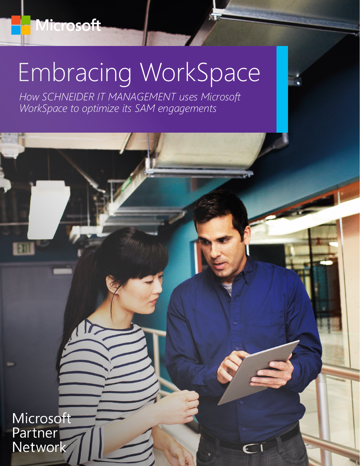# Embracing WorkSpace

*How SCHNEIDER IT MANAGEMENT uses Microsoft WorkSpace to optimize its SAM engagements*

Microsoft Partner Network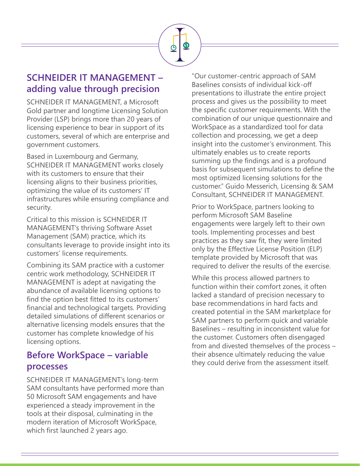## **SCHNEIDER IT MANAGEMENT – adding value through precision**

SCHNEIDER IT MANAGEMENT, a Microsoft Gold partner and longtime Licensing Solution Provider (LSP) brings more than 20 years of licensing experience to bear in support of its customers, several of which are enterprise and government customers.

Based in Luxembourg and Germany, SCHNEIDER IT MANAGEMENT works closely with its customers to ensure that their licensing aligns to their business priorities, optimizing the value of its customers' IT infrastructures while ensuring compliance and security.

Critical to this mission is SCHNEIDER IT MANAGEMENT's thriving Software Asset Management (SAM) practice, which its consultants leverage to provide insight into its customers' license requirements.

Combining its SAM practice with a customer centric work methodology, SCHNEIDER IT MANAGEMENT is adept at navigating the abundance of available licensing options to find the option best fitted to its customers' financial and technological targets. Providing detailed simulations of different scenarios or alternative licensing models ensures that the customer has complete knowledge of his licensing options.

#### **Before WorkSpace – variable processes**

SCHNEIDER IT MANAGEMENT's long-term SAM consultants have performed more than 50 Microsoft SAM engagements and have experienced a steady improvement in the tools at their disposal, culminating in the modern iteration of Microsoft WorkSpace, which first launched 2 years ago.

"Our customer-centric approach of SAM Baselines consists of individual kick-off presentations to illustrate the entire project process and gives us the possibility to meet the specific customer requirements. With the combination of our unique questionnaire and WorkSpace as a standardized tool for data collection and processing, we get a deep insight into the customer's environment. This ultimately enables us to create reports summing up the findings and is a profound basis for subsequent simulations to define the most optimized licensing solutions for the customer." Guido Messerich, Licensing & SAM Consultant, SCHNEIDER IT MANAGEMENT.

Prior to WorkSpace, partners looking to perform Microsoft SAM Baseline engagements were largely left to their own tools. Implementing processes and best practices as they saw fit, they were limited only by the Effective License Position (ELP) template provided by Microsoft that was required to deliver the results of the exercise.

While this process allowed partners to function within their comfort zones, it often lacked a standard of precision necessary to base recommendations in hard facts and created potential in the SAM marketplace for SAM partners to perform quick and variable Baselines – resulting in inconsistent value for the customer. Customers often disengaged from and divested themselves of the process – their absence ultimately reducing the value they could derive from the assessment itself.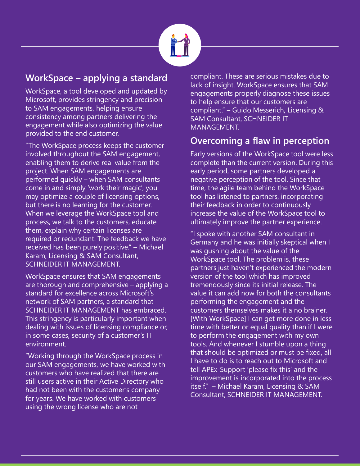

## **WorkSpace – applying a standard**

WorkSpace, a tool developed and updated by Microsoft, provides stringency and precision to SAM engagements, helping ensure consistency among partners delivering the engagement while also optimizing the value provided to the end customer.

"The WorkSpace process keeps the customer involved throughout the SAM engagement, enabling them to derive real value from the project. When SAM engagements are performed quickly – when SAM consultants come in and simply 'work their magic', you may optimize a couple of licensing options, but there is no learning for the customer. When we leverage the WorkSpace tool and process, we talk to the customers, educate them, explain why certain licenses are required or redundant. The feedback we have received has been purely positive." – Michael Karam, Licensing & SAM Consultant, SCHNEIDER IT MANAGEMENT.

WorkSpace ensures that SAM engagements are thorough and comprehensive – applying a standard for excellence across Microsoft's network of SAM partners, a standard that SCHNEIDER IT MANAGEMENT has embraced. This stringency is particularly important when dealing with issues of licensing compliance or, in some cases, security of a customer's IT environment.

"Working through the WorkSpace process in our SAM engagements, we have worked with customers who have realized that there are still users active in their Active Directory who had not been with the customer's company for years. We have worked with customers using the wrong license who are not

compliant. These are serious mistakes due to lack of insight. WorkSpace ensures that SAM engagements properly diagnose these issues to help ensure that our customers are compliant." – Guido Messerich, Licensing & SAM Consultant, SCHNEIDER IT MANAGEMENT.

## **Overcoming a flaw in perception**

Early versions of the WorkSpace tool were less complete than the current version. During this early period, some partners developed a negative perception of the tool. Since that time, the agile team behind the WorkSpace tool has listened to partners, incorporating their feedback in order to continuously increase the value of the WorkSpace tool to ultimately improve the partner experience.

"I spoke with another SAM consultant in Germany and he was initially skeptical when I was gushing about the value of the WorkSpace tool. The problem is, these partners just haven't experienced the modern version of the tool which has improved tremendously since its initial release. The value it can add now for both the consultants performing the engagement and the customers themselves makes it a no brainer. [With WorkSpace] I can get more done in less time with better or equal quality than if I were to perform the engagement with my own tools. And whenever I stumble upon a thing that should be optimized or must be fixed, all I have to do is to reach out to Microsoft and tell APEx-Support 'please fix this' and the improvement is incorporated into the process itself." – Michael Karam, Licensing & SAM Consultant, SCHNEIDER IT MANAGEMENT.